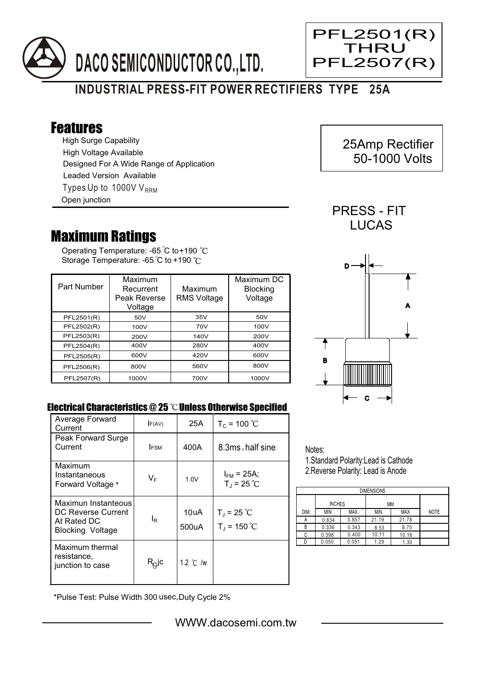



## Features

High Surge Capability Types Up to 1000V  $V_{RRM}$ High Voltage Available Designed For A Wide Range of Application Leaded Version Available Open junction

## Maximum Ratings

Operating Temperature: -65 C to+190 Storage Temperature: -65 $\degree$ C to +190 $\degree$ C

| Part Number | Maximum<br>Recurrent<br>Peak Reverse<br>Voltage | Maximum<br><b>RMS Voltage</b> | Maximum DC<br><b>Blocking</b><br>Voltage |
|-------------|-------------------------------------------------|-------------------------------|------------------------------------------|
| PFL2501(R)  | 50V                                             | 35V                           | 50V                                      |
| PFL2502(R)  | 100V                                            | 70V                           | 100V                                     |
| PFL2503(R)  | 200V                                            | 140V                          | 200V                                     |
| PFL2504(R)  | 400V                                            | 280V                          | 400V                                     |
| PFL2505(R)  | 600V                                            | 420V                          | 600V                                     |
| PFL2506(R)  | 800V                                            | 560V                          | 800V                                     |
| PFL2507(R)  | 1000V                                           | 700V                          | 1000V                                    |



PRESS - FIT **LUCAS** 

 25Amp Rectifier 50-1000 Volts

Ξ

PFL2501(R) THRU PFL2507(R)

## Electrical Characteristics  $@25$   $^{\circ}\text{C}$  Unless Otherwise Specified

| Average Forward<br>Current                                                          | F(AV)                          | 25A           | $T_c = 100 °C$                      |
|-------------------------------------------------------------------------------------|--------------------------------|---------------|-------------------------------------|
| Peak Forward Surge<br>Current                                                       | <b>IFSM</b>                    | 400A          | 8.3ms, half sine                    |
| Maximum<br>Instantaneous<br>Forward Voltage *                                       | VF                             | 1.0V          | $I_{FM}$ = 25A;<br>$T_{J}$ = 25 °C  |
| Maximun Instanteous<br>DC Reverse Current<br>At Rated DC<br><b>Blocking Voltage</b> | l <sub>R</sub>                 | 10uA<br>500uA | $T_{J}$ = 25 °C<br>$T_{J}$ = 150 °C |
| Maximum thermal<br>resistance,<br>junction to case                                  | $\mathsf{R}_{\!\mathsf{Q}}$ jc | 1.2 °C /w     |                                     |

Notes:

1.Standard Polarity:Lead is Cathode 2.Reverse Polarity: Lead is Anode

| <b>DIMENSIONS</b> |               |            |       |            |             |  |  |  |
|-------------------|---------------|------------|-------|------------|-------------|--|--|--|
|                   | <b>INCHES</b> |            | ΜМ    |            |             |  |  |  |
| <b>DIM</b>        | MIN           | <b>MAX</b> | ΜIΝ   | <b>MAX</b> | <b>NOTE</b> |  |  |  |
| А                 | 0.834         | 0.857      | 21.19 | 21.78      |             |  |  |  |
| В                 | 0.336         | 0.343      | 8.53  | 8.70       |             |  |  |  |
| С                 | 0.398         | 0.400      | 10.11 | 10.16      |             |  |  |  |
|                   | 0.050         | 0.051      | 1.29  | 1.30       |             |  |  |  |

\*Pulse Test: Pulse Width 300 usec,Duty Cycle 2%